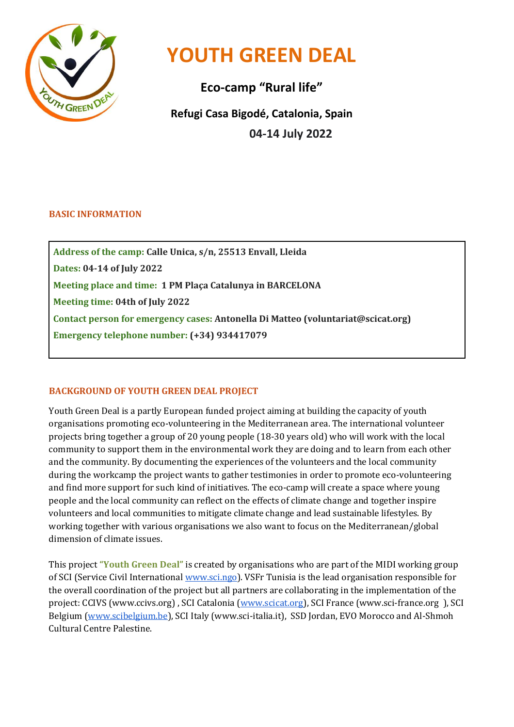

# **YOUTH GREEN DEAL**

**Eco-camp "Rural life" Refugi Casa Bigodé, Catalonia, Spain 04-14 July 2022**

## **BASIC INFORMATION**

**Address of the camp: Calle Unica, s/n, 25513 Envall, Lleida Dates: 04-14 of July 2022 Meeting place and time: 1 PM Plaça Catalunya in BARCELONA Meeting time: 04th of July 2022 Contact person for emergency cases: Antonella Di Matteo (voluntariat@scicat.org) Emergency telephone number: (+34) 934417079** 

## **BACKGROUND OF YOUTH GREEN DEAL PROJECT**

Youth Green Deal is a partly European funded project aiming at building the capacity of youth organisations promoting eco-volunteering in the Mediterranean area. The international volunteer projects bring together a group of 20 young people (18-30 years old) who will work with the local community to support them in the environmental work they are doing and to learn from each other and the community. By documenting the experiences of the volunteers and the local community during the workcamp the project wants to gather testimonies in order to promote eco-volunteering and find more support for such kind of initiatives. The eco-camp will create a space where young people and the local community can reflect on the effects of climate change and together inspire volunteers and local communities to mitigate climate change and lead sustainable lifestyles. By working together with various organisations we also want to focus on the Mediterranean/global dimension of climate issues.

This project **"Youth Green Deal"** is created by organisations who are part of the MIDI working group of SCI (Service Civil International [www.sci.ngo\)](http://www.sci.ngo/). VSFr Tunisia is the lead organisation responsible for the overall coordination of the project but all partners are collaborating in the implementation of the project: CCIVS (www.ccivs.org) , SCI Catalonia [\(www.scicat.org\)](http://www.scicat.org/), SCI France (www.sci-france.org ), SCI Belgium [\(www.scibelgium.be\)](http://www.scibelgium.be/), SCI Italy (www.sci-italia.it), SSD Jordan, EVO Morocco and Al-Shmoh Cultural Centre Palestine.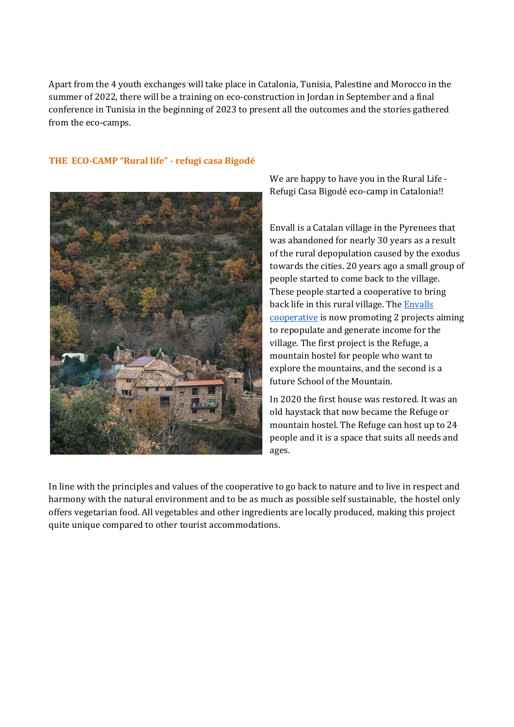Apart from the 4 youth exchanges will take place in Catalonia, Tunisia, Palestine and Morocco in the summer of 2022, there will be a training on eco-construction in Jordan in September and a final conference in Tunisia in the beginning of 2023 to present all the outcomes and the stories gathered from the eco-camps.

#### **THE ECO-CAMP "Rural life" - refugi casa Bigodé**



We are happy to have you in the Rural Life - Refugi Casa Bigodé eco-camp in Catalonia!!

Envall is a Catalan village in the Pyrenees that was abandoned for nearly 30 years as a result of the rural depopulation caused by the exodus towards the cities. 20 years ago a small group of people started to come back to the village. These people started a cooperative to bring back life in this rural village. The **Envalls** [cooperative](http://www.envallcooperativa.cat/) is now promoting 2 projects aiming to repopulate and generate income for the village. The first project is the Refuge, a mountain hostel for people who want to explore the mountains, and the second is a future School of the Mountain.

In 2020 the first house was restored. It was an old haystack that now became the Refuge or mountain hostel. The Refuge can host up to 24 people and it is a space that suits all needs and ages.

In line with the principles and values of the cooperative to go back to nature and to live in respect and harmony with the natural environment and to be as much as possible self sustainable, the hostel only offers vegetarian food. All vegetables and other ingredients are locally produced, making this project quite unique compared to other tourist accommodations.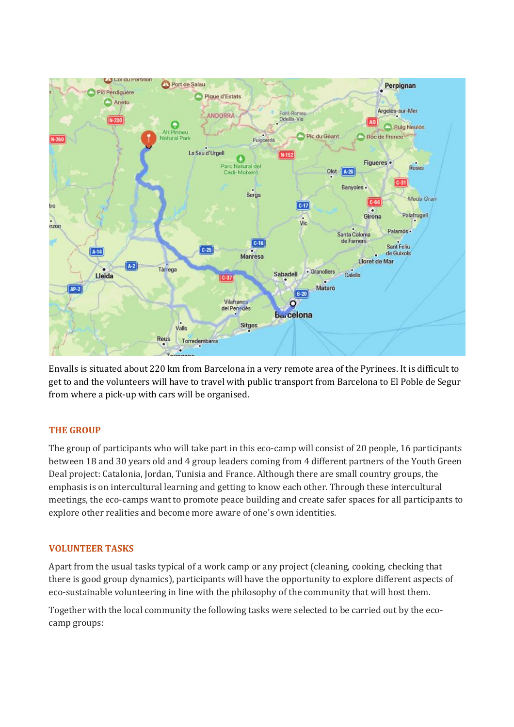

Envalls is situated about 220 km from Barcelona in a very remote area of the Pyrinees. It is difficult to get to and the volunteers will have to travel with public transport from Barcelona to El Poble de Segur from where a pick-up with cars will be organised.

## **THE GROUP**

The group of participants who will take part in this eco-camp will consist of 20 people, 16 participants between 18 and 30 years old and 4 group leaders coming from 4 different partners of the Youth Green Deal project: Catalonia, Jordan, Tunisia and France. Although there are small country groups, the emphasis is on intercultural learning and getting to know each other. Through these intercultural meetings, the eco-camps want to promote peace building and create safer spaces for all participants to explore other realities and become more aware of one's own identities.

## **VOLUNTEER TASKS**

Apart from the usual tasks typical of a work camp or any project (cleaning, cooking, checking that there is good group dynamics), participants will have the opportunity to explore different aspects of eco-sustainable volunteering in line with the philosophy of the community that will host them.

Together with the local community the following tasks were selected to be carried out by the ecocamp groups: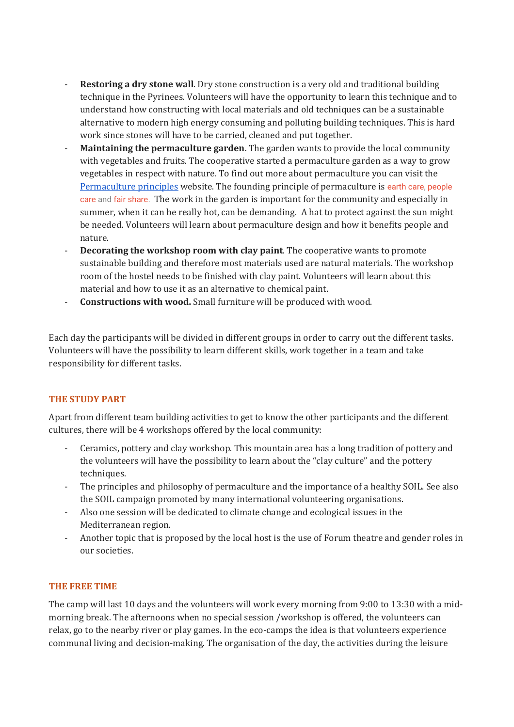- **Restoring a dry stone wall**. Dry stone construction is a very old and traditional building technique in the Pyrinees. Volunteers will have the opportunity to learn this technique and to understand how constructing with local materials and old techniques can be a sustainable alternative to modern high energy consuming and polluting building techniques. This is hard work since stones will have to be carried, cleaned and put together.
- **Maintaining the permaculture garden.** The garden wants to provide the local community with vegetables and fruits. The cooperative started a permaculture garden as a way to grow vegetables in respect with nature. To find out more about permaculture you can visit the [Permaculture principles](https://permacultureprinciples.com/) website. The founding principle of permaculture is [earth care,](https://permacultureprinciples.com/ethics/earthcare/) [people](https://permacultureprinciples.com/ethics/peoplecare/)  [care](https://permacultureprinciples.com/ethics/peoplecare/) an[d fair share.](https://permacultureprinciples.com/ethics/fair-share/) The work in the garden is important for the community and especially in summer, when it can be really hot, can be demanding. A hat to protect against the sun might be needed. Volunteers will learn about permaculture design and how it benefits people and nature.
- **Decorating the workshop room with clay paint**. The cooperative wants to promote sustainable building and therefore most materials used are natural materials. The workshop room of the hostel needs to be finished with clay paint. Volunteers will learn about this material and how to use it as an alternative to chemical paint.
- **Constructions with wood.** Small furniture will be produced with wood.

Each day the participants will be divided in different groups in order to carry out the different tasks. Volunteers will have the possibility to learn different skills, work together in a team and take responsibility for different tasks.

## **THE STUDY PART**

Apart from different team building activities to get to know the other participants and the different cultures, there will be 4 workshops offered by the local community:

- Ceramics, pottery and clay workshop. This mountain area has a long tradition of pottery and the volunteers will have the possibility to learn about the "clay culture" and the pottery techniques.
- The principles and philosophy of permaculture and the importance of a healthy SOIL. See also the SOIL campaign promoted by many international volunteering organisations.
- Also one session will be dedicated to climate change and ecological issues in the Mediterranean region.
- Another topic that is proposed by the local host is the use of Forum theatre and gender roles in our societies.

## **THE FREE TIME**

The camp will last 10 days and the volunteers will work every morning from 9:00 to 13:30 with a midmorning break. The afternoons when no special session /workshop is offered, the volunteers can relax, go to the nearby river or play games. In the eco-camps the idea is that volunteers experience communal living and decision-making. The organisation of the day, the activities during the leisure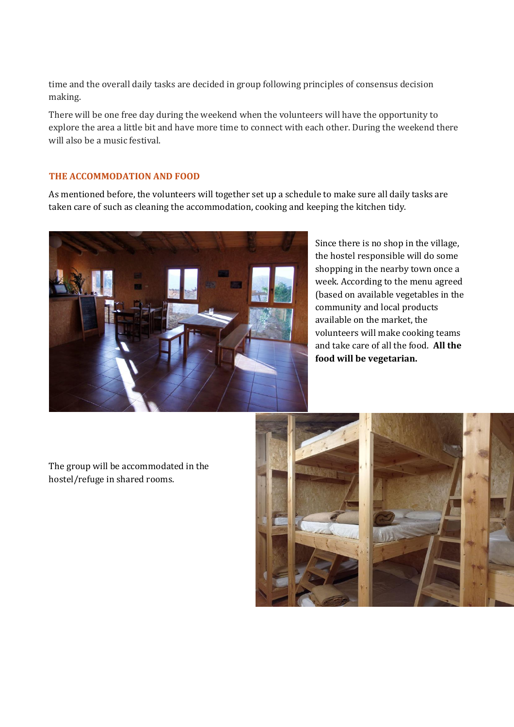time and the overall daily tasks are decided in group following principles of consensus decision making.

There will be one free day during the weekend when the volunteers will have the opportunity to explore the area a little bit and have more time to connect with each other. During the weekend there will also be a music festival.

#### **THE ACCOMMODATION AND FOOD**

As mentioned before, the volunteers will together set up a schedule to make sure all daily tasks are taken care of such as cleaning the accommodation, cooking and keeping the kitchen tidy.



Since there is no shop in the village, the hostel responsible will do some shopping in the nearby town once a week. According to the menu agreed (based on available vegetables in the community and local products available on the market, the volunteers will make cooking teams and take care of all the food. **All the food will be vegetarian.** 

The group will be accommodated in the hostel/refuge in shared rooms.

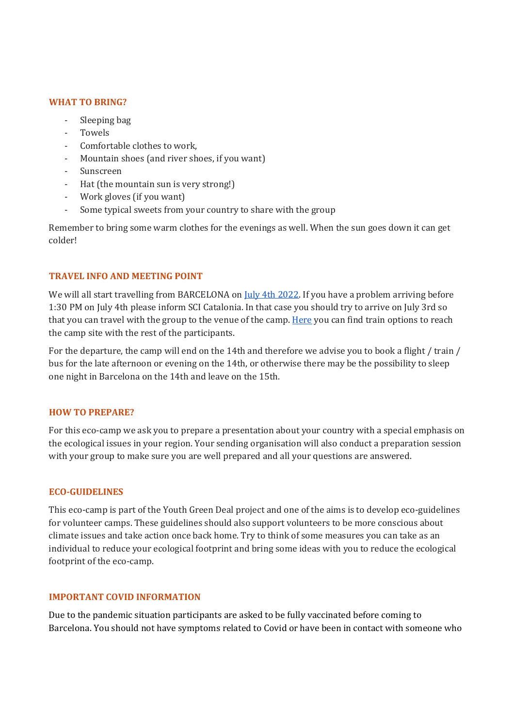#### **WHAT TO BRING?**

- Sleeping bag
- Towels
- Comfortable clothes to work,
- Mountain shoes (and river shoes, if you want)
- Sunscreen
- Hat (the mountain sun is very strong!)
- Work gloves (if you want)
- Some typical sweets from your country to share with the group

Remember to bring some warm clothes for the evenings as well. When the sun goes down it can get colder!

#### **TRAVEL INFO AND MEETING POINT**

We will all start travelling from BARCELONA on *July 4th 2022*. If you have a problem arriving before 1:30 PM on July 4th please inform SCI Catalonia. In that case you should try to arrive on July 3rd so that you can travel with the group to the venue of the camp. [Here](https://www.fgc.cat/xarxa-fgc/l-lleida-pobla/lleida-pirineus/) you can find train options to reach the camp site with the rest of the participants.

For the departure, the camp will end on the 14th and therefore we advise you to book a flight / train / bus for the late afternoon or evening on the 14th, or otherwise there may be the possibility to sleep one night in Barcelona on the 14th and leave on the 15th.

#### **HOW TO PREPARE?**

For this eco-camp we ask you to prepare a presentation about your country with a special emphasis on the ecological issues in your region. Your sending organisation will also conduct a preparation session with your group to make sure you are well prepared and all your questions are answered.

#### **ECO-GUIDELINES**

This eco-camp is part of the Youth Green Deal project and one of the aims is to develop eco-guidelines for volunteer camps. These guidelines should also support volunteers to be more conscious about climate issues and take action once back home. Try to think of some measures you can take as an individual to reduce your ecological footprint and bring some ideas with you to reduce the ecological footprint of the eco-camp.

#### **IMPORTANT COVID INFORMATION**

Due to the pandemic situation participants are asked to be fully vaccinated before coming to Barcelona. You should not have symptoms related to Covid or have been in contact with someone who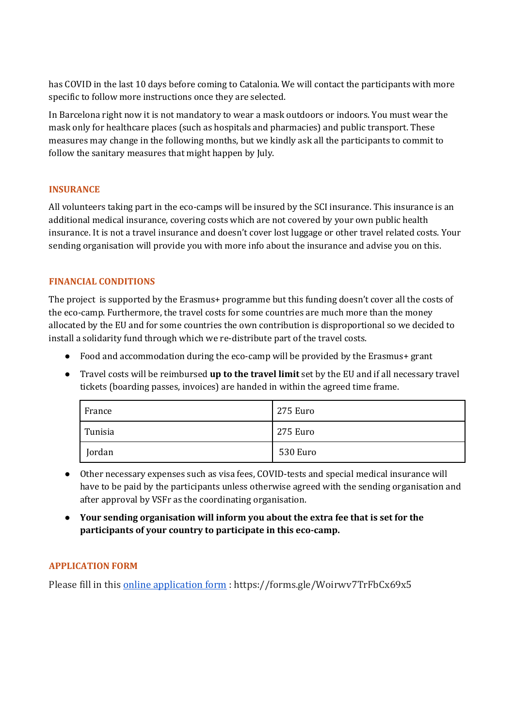has COVID in the last 10 days before coming to Catalonia. We will contact the participants with more specific to follow more instructions once they are selected.

In Barcelona right now it is not mandatory to wear a mask outdoors or indoors. You must wear the mask only for healthcare places (such as hospitals and pharmacies) and public transport. These measures may change in the following months, but we kindly ask all the participants to commit to follow the sanitary measures that might happen by July.

## **INSURANCE**

All volunteers taking part in the eco-camps will be insured by the SCI insurance. This insurance is an additional medical insurance, covering costs which are not covered by your own public health insurance. It is not a travel insurance and doesn't cover lost luggage or other travel related costs. Your sending organisation will provide you with more info about the insurance and advise you on this.

## **FINANCIAL CONDITIONS**

The project is supported by the Erasmus+ programme but this funding doesn't cover all the costs of the eco-camp. Furthermore, the travel costs for some countries are much more than the money allocated by the EU and for some countries the own contribution is disproportional so we decided to install a solidarity fund through which we re-distribute part of the travel costs.

- Food and accommodation during the eco-camp will be provided by the Erasmus+ grant
- Travel costs will be reimbursed **up to the travel limit** set by the EU and if all necessary travel tickets (boarding passes, invoices) are handed in within the agreed time frame.

| France  | 275 Euro |
|---------|----------|
| Tunisia | 275 Euro |
| Jordan  | 530 Euro |

- Other necessary expenses such as visa fees, COVID-tests and special medical insurance will have to be paid by the participants unless otherwise agreed with the sending organisation and after approval by VSFr as the coordinating organisation.
- **Your sending organisation will inform you about the extra fee that is set for the participants of your country to participate in this eco-camp.**

## **APPLICATION FORM**

Please fill in thi[s online application form](https://forms.gle/Woirwv7TrFbCx69x5) : https://forms.gle/Woirwv7TrFbCx69x5